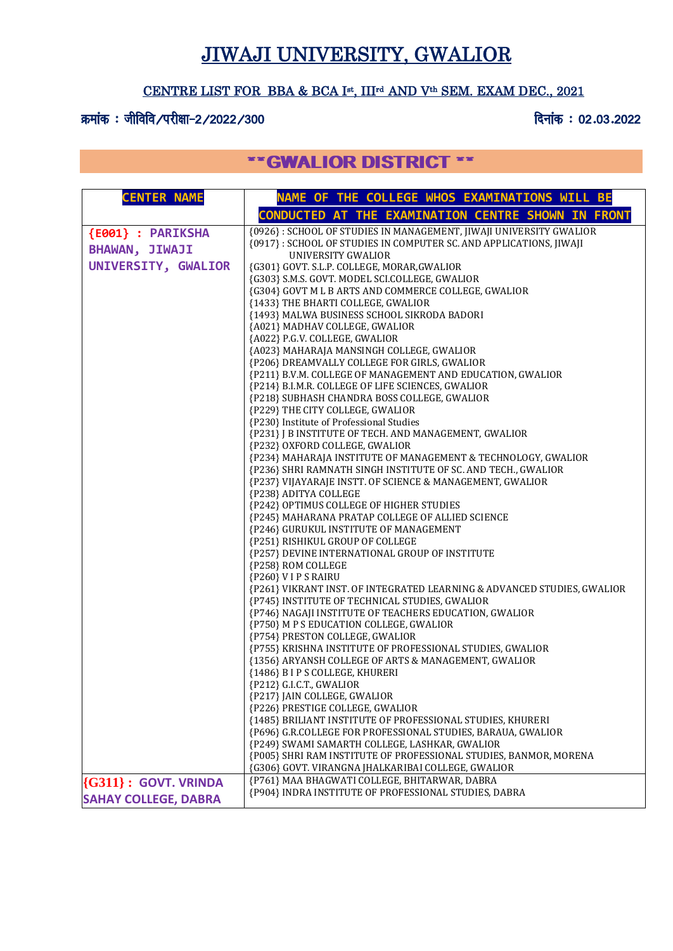# JIWAJI UNIVERSITY, GWALIOR

#### CENTRE LIST FOR BBA & BCA I st, IIIrd AND Vth SEM. EXAM DEC., 2021

#### क्रमांक : जीविवि /परीक्षा-2 /2022 /300 for the state of the state of the state of the state of the state of th

## \*\*GWALIOR DISTRICT \*\*

| <b>CENTER NAME</b>          | NAME OF THE COLLEGE WHOS EXAMINATIONS WILL BE                                                                              |
|-----------------------------|----------------------------------------------------------------------------------------------------------------------------|
|                             | CONDUCTED AT THE EXAMINATION CENTRE SHOWN IN FRONT                                                                         |
| {E001} : PARIKSHA           | {0926}: SCHOOL OF STUDIES IN MANAGEMENT, JIWAJI UNIVERSITY GWALIOR                                                         |
| <b>BHAWAN, JIWAJI</b>       | {0917}: SCHOOL OF STUDIES IN COMPUTER SC. AND APPLICATIONS, JIWAJI                                                         |
|                             | UNIVERSITY GWALIOR                                                                                                         |
| UNIVERSITY, GWALIOR         | {G301} GOVT. S.L.P. COLLEGE, MORAR, GWALIOR                                                                                |
|                             | {G303} S.M.S. GOVT. MODEL SCI.COLLEGE, GWALIOR                                                                             |
|                             | {G304} GOVT M L B ARTS AND COMMERCE COLLEGE, GWALIOR                                                                       |
|                             | {1433} THE BHARTI COLLEGE, GWALIOR                                                                                         |
|                             | {1493} MALWA BUSINESS SCHOOL SIKRODA BADORI                                                                                |
|                             | {A021} MADHAV COLLEGE, GWALIOR<br>{A022} P.G.V. COLLEGE, GWALIOR                                                           |
|                             | {A023} MAHARAJA MANSINGH COLLEGE, GWALIOR                                                                                  |
|                             | {P206} DREAMVALLY COLLEGE FOR GIRLS, GWALIOR                                                                               |
|                             | {P211} B.V.M. COLLEGE OF MANAGEMENT AND EDUCATION, GWALIOR                                                                 |
|                             | {P214} B.I.M.R. COLLEGE OF LIFE SCIENCES, GWALIOR                                                                          |
|                             | {P218} SUBHASH CHANDRA BOSS COLLEGE, GWALIOR                                                                               |
|                             | {P229} THE CITY COLLEGE, GWALIOR                                                                                           |
|                             | {P230} Institute of Professional Studies                                                                                   |
|                             | {P231} J B INSTITUTE OF TECH. AND MANAGEMENT, GWALIOR                                                                      |
|                             | {P232} OXFORD COLLEGE, GWALIOR                                                                                             |
|                             | {P234} MAHARAJA INSTITUTE OF MANAGEMENT & TECHNOLOGY, GWALIOR                                                              |
|                             | {P236} SHRI RAMNATH SINGH INSTITUTE OF SC. AND TECH., GWALIOR                                                              |
|                             | {P237} VIJAYARAJE INSTT. OF SCIENCE & MANAGEMENT, GWALIOR                                                                  |
|                             | {P238} ADITYA COLLEGE                                                                                                      |
|                             | {P242} OPTIMUS COLLEGE OF HIGHER STUDIES                                                                                   |
|                             | {P245} MAHARANA PRATAP COLLEGE OF ALLIED SCIENCE                                                                           |
|                             | {P246} GURUKUL INSTITUTE OF MANAGEMENT                                                                                     |
|                             | {P251} RISHIKUL GROUP OF COLLEGE                                                                                           |
|                             | {P257} DEVINE INTERNATIONAL GROUP OF INSTITUTE                                                                             |
|                             | {P258} ROM COLLEGE                                                                                                         |
|                             | {P260} V I P S RAIRU                                                                                                       |
|                             | {P261} VIKRANT INST. OF INTEGRATED LEARNING & ADVANCED STUDIES, GWALIOR                                                    |
|                             | {P745} INSTITUTE OF TECHNICAL STUDIES, GWALIOR                                                                             |
|                             | {P746} NAGAJI INSTITUTE OF TEACHERS EDUCATION, GWALIOR                                                                     |
|                             | {P750} M P S EDUCATION COLLEGE, GWALIOR                                                                                    |
|                             | {P754} PRESTON COLLEGE, GWALIOR                                                                                            |
|                             | {P755} KRISHNA INSTITUTE OF PROFESSIONAL STUDIES, GWALIOR                                                                  |
|                             | {1356} ARYANSH COLLEGE OF ARTS & MANAGEMENT, GWALIOR                                                                       |
|                             | {1486} B I P S COLLEGE, KHURERI                                                                                            |
|                             | {P212} G.I.C.T., GWALIOR                                                                                                   |
|                             | {P217} JAIN COLLEGE, GWALIOR                                                                                               |
|                             | {P226} PRESTIGE COLLEGE, GWALIOR                                                                                           |
|                             | {1485} BRILIANT INSTITUTE OF PROFESSIONAL STUDIES, KHURERI<br>{P696} G.R.COLLEGE FOR PROFESSIONAL STUDIES, BARAUA, GWALIOR |
|                             | {P249} SWAMI SAMARTH COLLEGE, LASHKAR, GWALIOR                                                                             |
|                             | {P005} SHRI RAM INSTITUTE OF PROFESSIONAL STUDIES, BANMOR, MORENA                                                          |
|                             | {G306} GOVT. VIRANGNA JHALKARIBAI COLLEGE, GWALIOR                                                                         |
|                             | {P761} MAA BHAGWATI COLLEGE, BHITARWAR, DABRA                                                                              |
| $\{G311\}$ : GOVT. VRINDA   | {P904} INDRA INSTITUTE OF PROFESSIONAL STUDIES, DABRA                                                                      |
| <b>SAHAY COLLEGE, DABRA</b> |                                                                                                                            |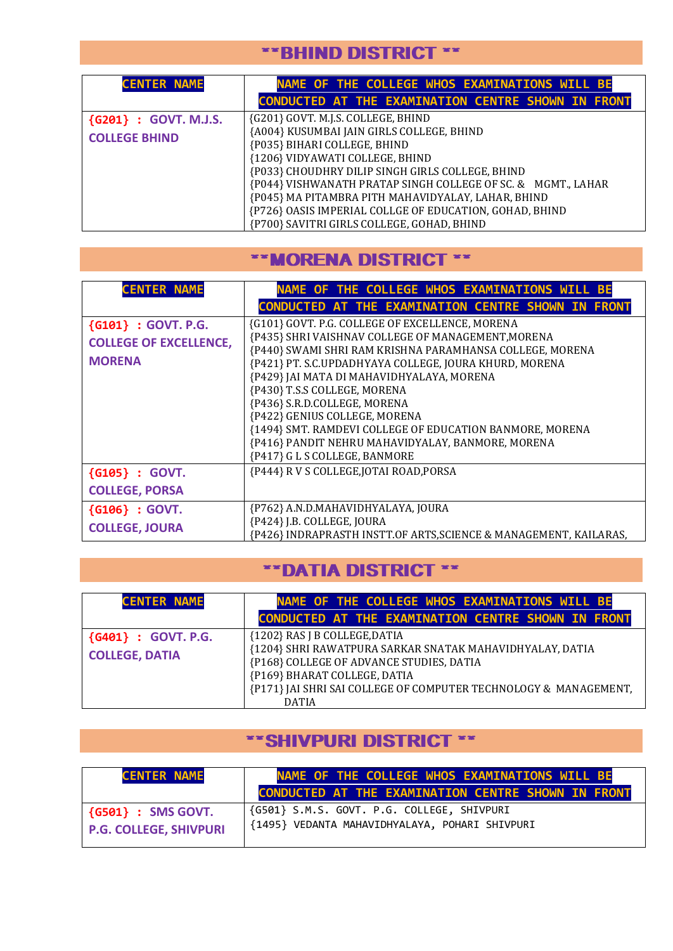#### \*\*BHIND DISTRICT \*\*

| <b>CENTER NAME</b>    | NAME OF THE COLLEGE WHOS EXAMINATIONS WILL BE                |
|-----------------------|--------------------------------------------------------------|
|                       | <b>CONDUCTED AT THE EXAMINATION CENTRE SHOWN IN FRONT</b>    |
| {G201} : GOVT. M.J.S. | {G201} GOVT. M.J.S. COLLEGE, BHIND                           |
| <b>COLLEGE BHIND</b>  | {A004} KUSUMBAI JAIN GIRLS COLLEGE, BHIND                    |
|                       | {P035} BIHARI COLLEGE, BHIND                                 |
|                       | {1206} VIDYAWATI COLLEGE, BHIND                              |
|                       | {P033} CHOUDHRY DILIP SINGH GIRLS COLLEGE, BHIND             |
|                       | {P044} VISHWANATH PRATAP SINGH COLLEGE OF SC. & MGMT., LAHAR |
|                       | {P045} MA PITAMBRA PITH MAHAVIDYALAY, LAHAR, BHIND           |
|                       | {P726} OASIS IMPERIAL COLLGE OF EDUCATION, GOHAD, BHIND      |
|                       | {P700} SAVITRI GIRLS COLLEGE, GOHAD, BHIND                   |

#### \*\*MORENA DISTRICT \*\*

| <b>CENTER NAME</b>            | NAME OF THE COLLEGE WHOS EXAMINATIONS WILL BE                                                                  |
|-------------------------------|----------------------------------------------------------------------------------------------------------------|
|                               | CONDUCTED AT THE EXAMINATION CENTRE SHOWN IN FRONT                                                             |
| ${G101} : GOVT. P.G.$         | {G101} GOVT. P.G. COLLEGE OF EXCELLENCE, MORENA                                                                |
| <b>COLLEGE OF EXCELLENCE,</b> | {P435} SHRI VAISHNAV COLLEGE OF MANAGEMENT, MORENA<br>{P440} SWAMI SHRI RAM KRISHNA PARAMHANSA COLLEGE, MORENA |
| <b>MORENA</b>                 | {P421} PT. S.C.UPDADHYAYA COLLEGE, JOURA KHURD, MORENA                                                         |
|                               | {P429} JAI MATA DI MAHAVIDHYALAYA, MORENA                                                                      |
|                               | {P430} T.S.S COLLEGE, MORENA<br>{P436} S.R.D.COLLEGE, MORENA                                                   |
|                               | {P422} GENIUS COLLEGE, MORENA                                                                                  |
|                               | {1494} SMT. RAMDEVI COLLEGE OF EDUCATION BANMORE, MORENA                                                       |
|                               | {P416} PANDIT NEHRU MAHAVIDYALAY, BANMORE, MORENA                                                              |
|                               | {P417} G L S COLLEGE, BANMORE                                                                                  |
| ${G105}$ : GOVT.              | {P444} R V S COLLEGE, JOTAI ROAD, PORSA                                                                        |
| <b>COLLEGE, PORSA</b>         |                                                                                                                |
| ${G106} : GOVT.$              | {P762} A.N.D.MAHAVIDHYALAYA, JOURA                                                                             |
| <b>COLLEGE, JOURA</b>         | {P424} J.B. COLLEGE, JOURA<br>{P426} INDRAPRASTH INSTT.OF ARTS, SCIENCE & MANAGEMENT, KAILARAS,                |

## \*\*DATIA DISTRICT \*\*

| <b>CENTER NAME</b>                           | NAME OF THE COLLEGE WHOS EXAMINATIONS WILL BE                                                                                         |
|----------------------------------------------|---------------------------------------------------------------------------------------------------------------------------------------|
|                                              | CONDUCTED AT THE EXAMINATION CENTRE SHOWN IN FRONT                                                                                    |
| {G401} : GOVT. P.G.<br><b>COLLEGE, DATIA</b> | {1202} RAS J B COLLEGE, DATIA<br>{1204} SHRI RAWATPURA SARKAR SNATAK MAHAVIDHYALAY, DATIA<br>{P168} COLLEGE OF ADVANCE STUDIES, DATIA |
|                                              | {P169} BHARAT COLLEGE, DATIA<br>{P171} JAI SHRI SAI COLLEGE OF COMPUTER TECHNOLOGY & MANAGEMENT,<br><b>DATIA</b>                      |

#### \*\*SHIVPURI DISTRICT \*\*

| <b>CENTER NAME</b>            | NAME OF THE COLLEGE WHOS EXAMINATIONS WILL BE<br>CONDUCTED AT THE EXAMINATION CENTRE SHOWN IN FRONT |
|-------------------------------|-----------------------------------------------------------------------------------------------------|
| $\{G501\}$ : SMS GOVT.        | {G501} S.M.S. GOVT. P.G. COLLEGE, SHIVPURI                                                          |
| <b>P.G. COLLEGE, SHIVPURI</b> | {1495} VEDANTA MAHAVIDHYALAYA, POHARI SHIVPURI                                                      |